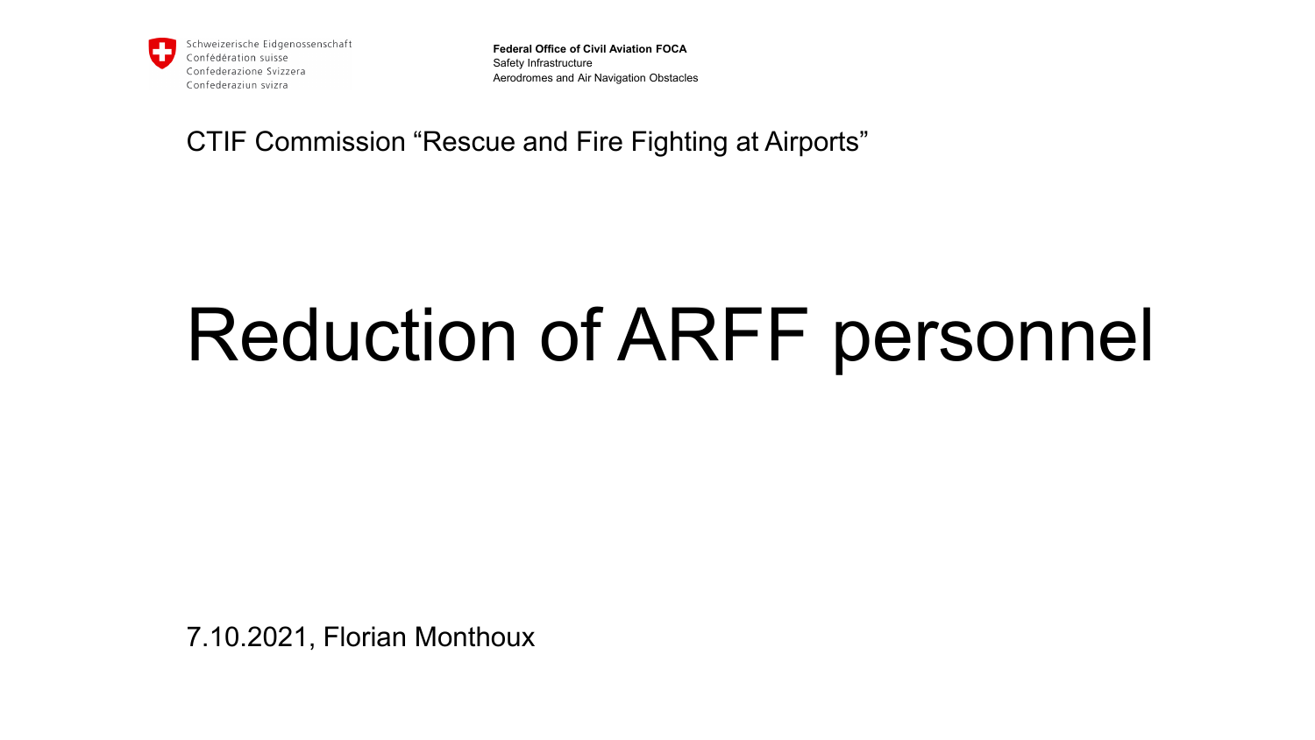

**Federal Office of Civil Aviation FOCA** Safety Infrastructure Aerodromes and Air Navigation Obstacles

CTIF Commission "Rescue and Fire Fighting at Airports"

# Reduction of ARFF personnel

7.10.2021, Florian Monthoux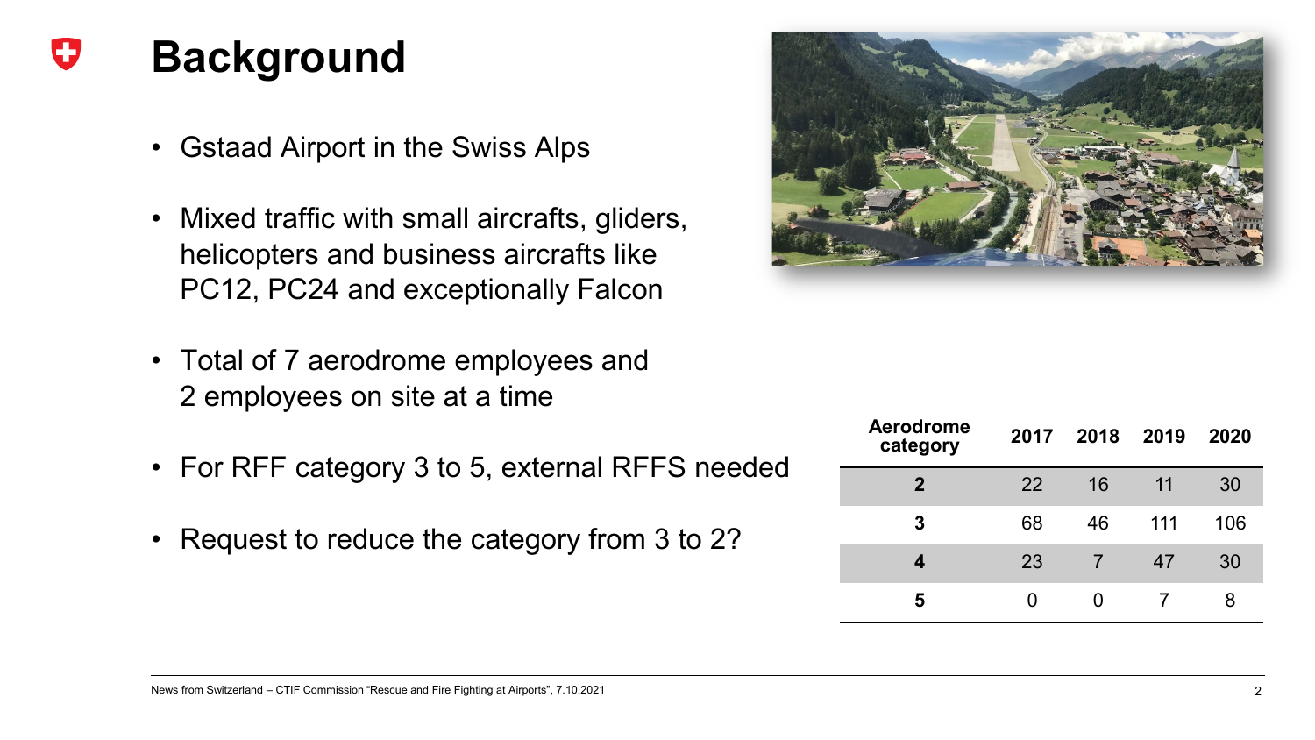### **Background**

- Gstaad Airport in the Swiss Alps
- Mixed traffic with small aircrafts, gliders, helicopters and business aircrafts like PC12, PC24 and exceptionally Falcon
- Total of 7 aerodrome employees and 2 employees on site at a time
- For RFF category 3 to 5, external RFFS needed
- Request to reduce the category from 3 to 2?



| <b>Aerodrome</b><br>category |    | 2017 2018 2019 |     | 2020 |
|------------------------------|----|----------------|-----|------|
| $\mathbf{2}$                 | 22 | 16             | 11  | 30   |
| 3                            | 68 | 46             | 111 | 106  |
| 4                            | 23 |                | 47  | 30   |
|                              |    |                |     | 8    |

#### News from Switzerland – CTIF Commission "Rescue and Fire Fighting at Airports", 7.10.2021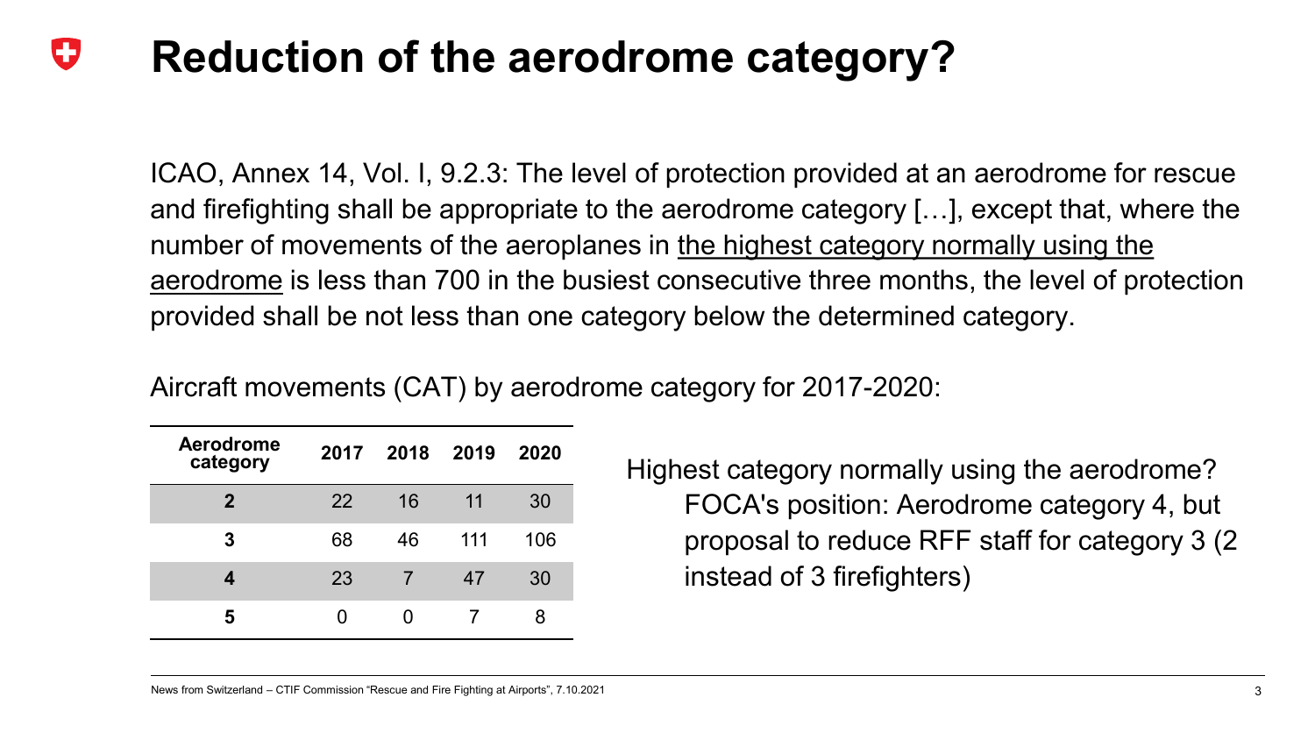#### Œ **Reduction of the aerodrome category?**

ICAO, Annex 14, Vol. I, 9.2.3: The level of protection provided at an aerodrome for rescue and firefighting shall be appropriate to the aerodrome category […], except that, where the number of movements of the aeroplanes in the highest category normally using the aerodrome is less than 700 in the busiest consecutive three months, the level of protection provided shall be not less than one category below the determined category.

Aircraft movements (CAT) by aerodrome category for 2017-2020:

| <b>Aerodrome</b><br>category | 2017 | 2018 2019 |     | 2020 |
|------------------------------|------|-----------|-----|------|
| $\mathbf 2$                  | 22   | 16        | 11  | 30   |
| 3                            | 68   | 46        | 111 | 106  |
| 4                            | 23   |           | 47  | 30   |
| 5                            |      |           |     | 8    |

Highest category normally using the aerodrome? FOCA's position: Aerodrome category 4, but proposal to reduce RFF staff for category 3 (2 instead of 3 firefighters)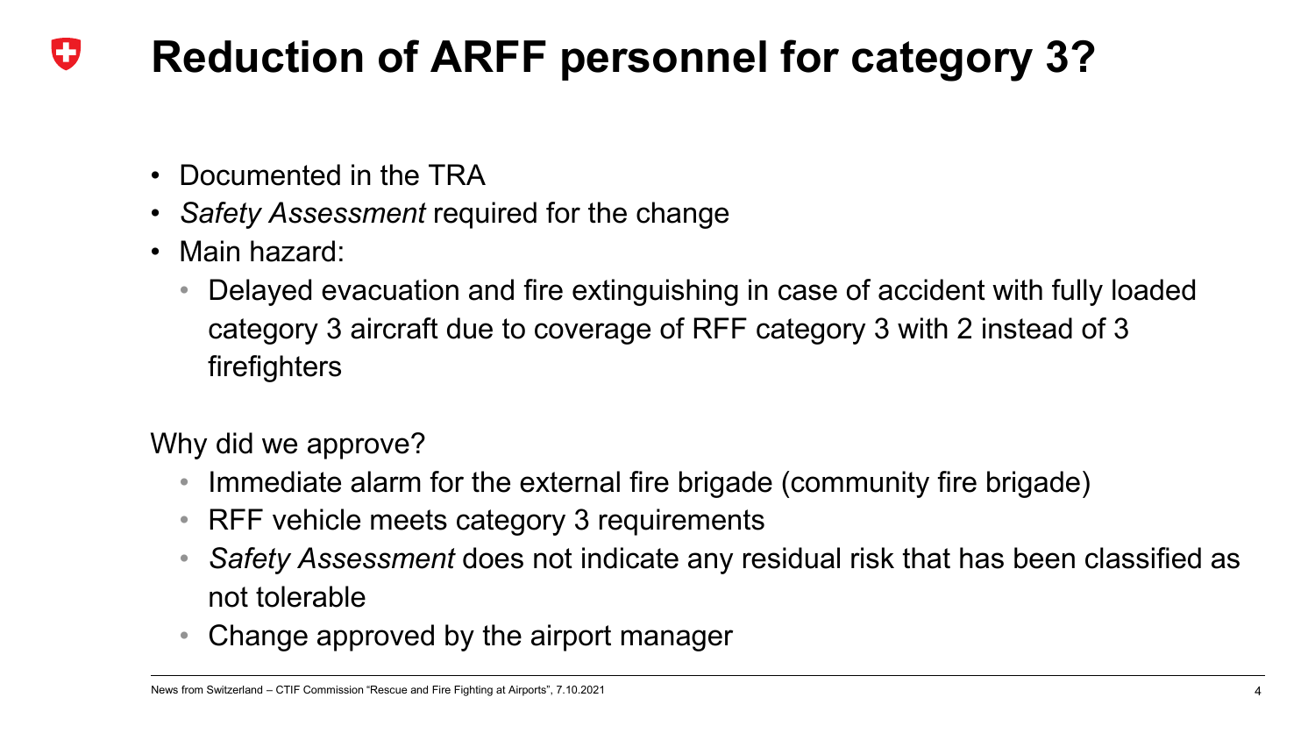#### IJ **Reduction of ARFF personnel for category 3?**

- Documented in the TRA
- *Safety Assessment* required for the change
- Main hazard:
	- Delayed evacuation and fire extinguishing in case of accident with fully loaded category 3 aircraft due to coverage of RFF category 3 with 2 instead of 3 firefighters

Why did we approve?

- Immediate alarm for the external fire brigade (community fire brigade)
- RFF vehicle meets category 3 requirements
- *Safety Assessment* does not indicate any residual risk that has been classified as not tolerable
- Change approved by the airport manager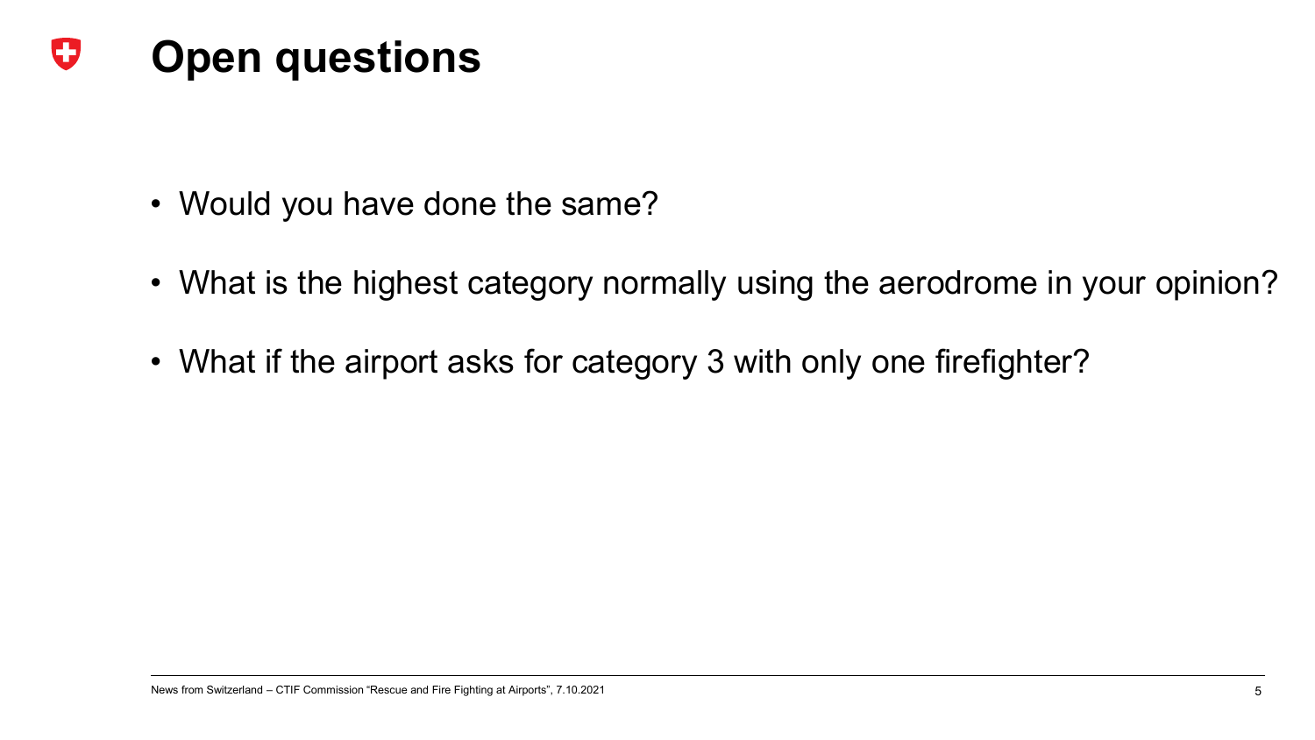### O **Open questions**

- Would you have done the same?
- What is the highest category normally using the aerodrome in your opinion?
- What if the airport asks for category 3 with only one firefighter?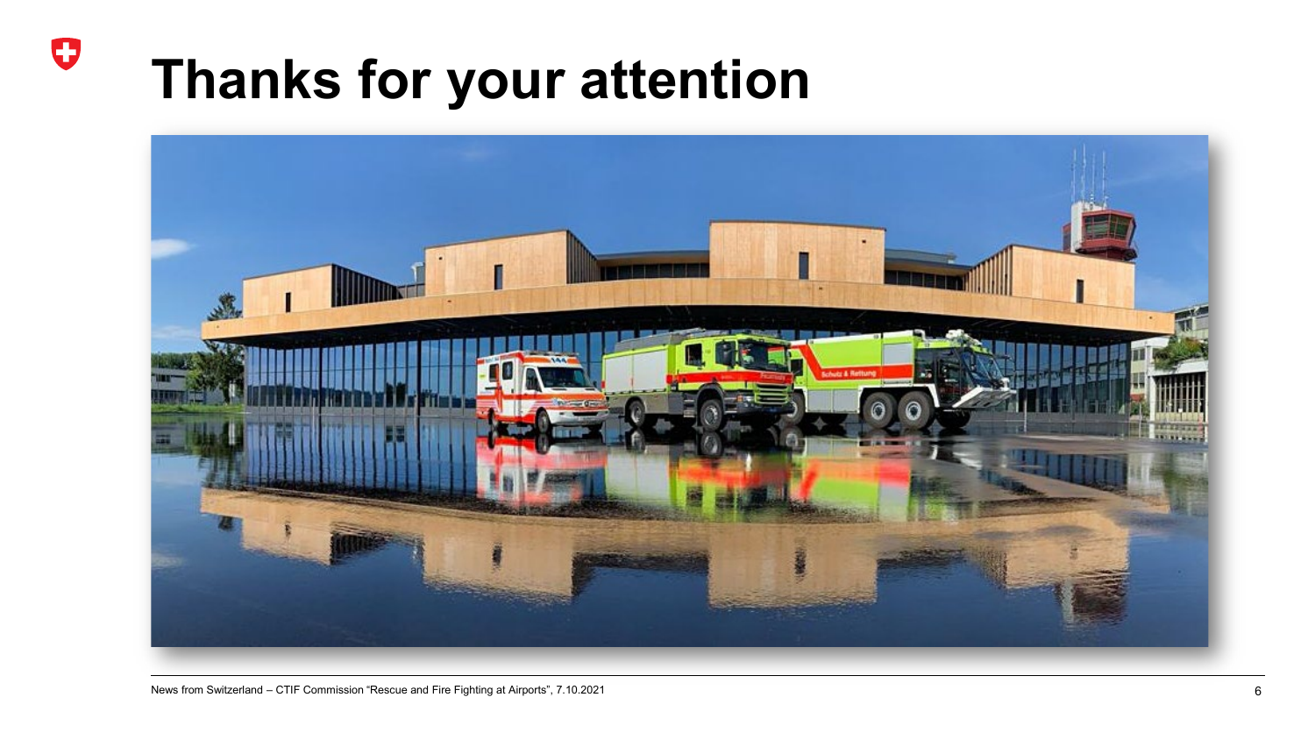## **Thanks for your attention**

 $\mathbf G$ 

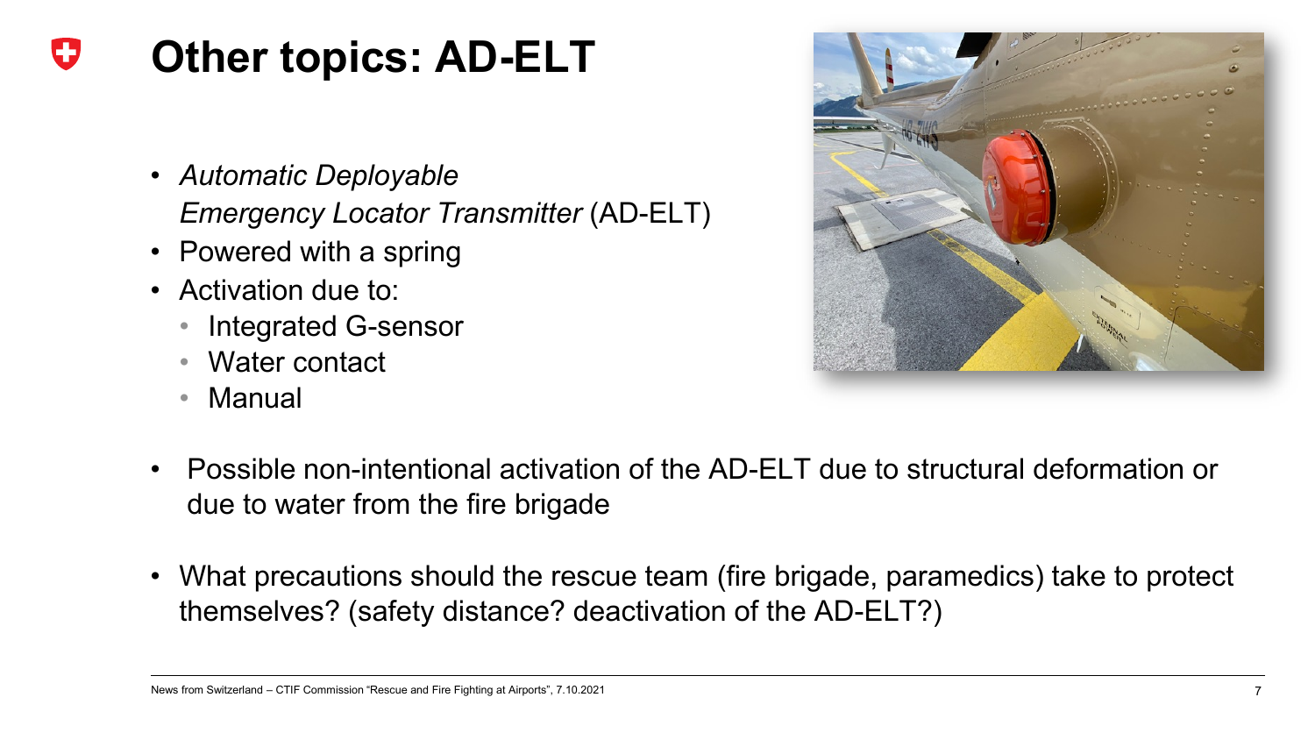#### IJ **Other topics: AD-ELT**

- *Automatic Deployable Emergency Locator Transmitter* (AD-ELT)
- Powered with a spring
- Activation due to:
	- Integrated G-sensor
	- Water contact
	- Manual



- Possible non-intentional activation of the AD-ELT due to structural deformation or due to water from the fire brigade
- What precautions should the rescue team (fire brigade, paramedics) take to protect themselves? (safety distance? deactivation of the AD-ELT?)